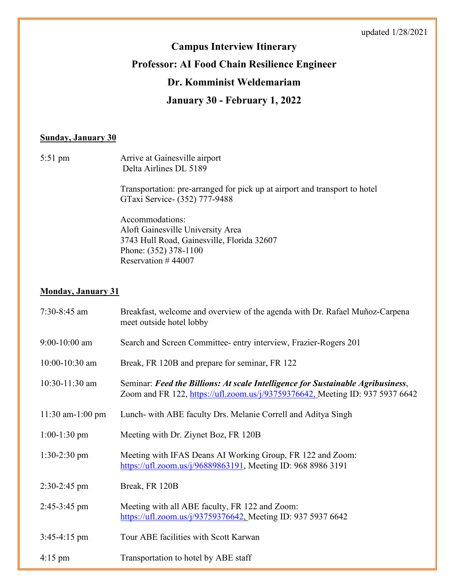# **Campus Interview Itinerary Professor: AI Food Chain Resilience Engineer Dr. Komminist Weldemariam**

## **January 30 - February 1, 2022**

#### **Sunday, January 30**

| 5:51 pm | Arrive at Gainesville airport<br>Delta Airlines DL 5189                                                      |
|---------|--------------------------------------------------------------------------------------------------------------|
|         | Transportation: pre-arranged for pick up at airport and transport to hotel<br>GTaxi Service - (352) 777-9488 |
|         | Accommodations:                                                                                              |
|         | Aloft Gainesville University Area                                                                            |
|         | 3743 Hull Road, Gainesville, Florida 32607                                                                   |
|         | Phone: (352) 378-1100                                                                                        |

Reservation # 44007

#### **Monday, January 31**

| $7:30-8:45$ am    | Breakfast, welcome and overview of the agenda with Dr. Rafael Muñoz-Carpena<br>meet outside hotel lobby                                                          |
|-------------------|------------------------------------------------------------------------------------------------------------------------------------------------------------------|
| $9:00-10:00$ am   | Search and Screen Committee- entry interview, Frazier-Rogers 201                                                                                                 |
| 10:00-10:30 am    | Break, FR 120B and prepare for seminar, FR 122                                                                                                                   |
| $10:30-11:30$ am  | Seminar: Feed the Billions: At scale Intelligence for Sustainable Agribusiness,<br>Zoom and FR 122, https://ufl.zoom.us/j/93759376642, Meeting ID: 937 5937 6642 |
| 11:30 am-1:00 pm  | Lunch- with ABE faculty Drs. Melanie Correll and Aditya Singh                                                                                                    |
| $1:00-1:30$ pm    | Meeting with Dr. Ziynet Boz, FR 120B                                                                                                                             |
| $1:30-2:30$ pm    | Meeting with IFAS Deans AI Working Group, FR 122 and Zoom:<br>https://ufl.zoom.us/j/96889863191, Meeting ID: 968 8986 3191                                       |
| $2:30-2:45$ pm    | Break, FR 120B                                                                                                                                                   |
| 2:45-3:45 pm      | Meeting with all ABE faculty, FR 122 and Zoom:<br>https://ufl.zoom.us/j/93759376642, Meeting ID: 937 5937 6642                                                   |
| $3:45-4:15$ pm    | Tour ABE facilities with Scott Karwan                                                                                                                            |
| $4:15 \text{ pm}$ | Transportation to hotel by ABE staff                                                                                                                             |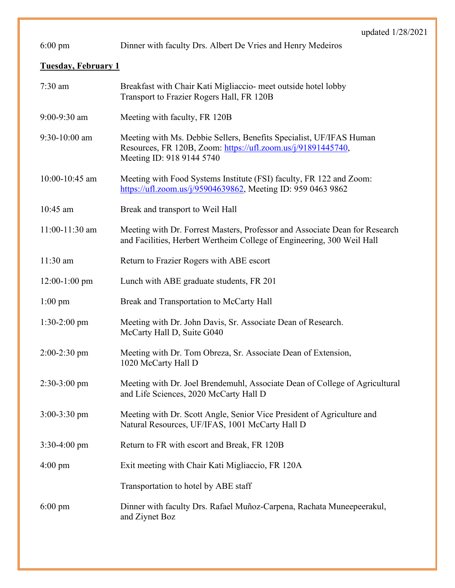|                            | upuancu $1/2$                                                                                                                                                    |  |
|----------------------------|------------------------------------------------------------------------------------------------------------------------------------------------------------------|--|
| $6:00 \text{ pm}$          | Dinner with faculty Drs. Albert De Vries and Henry Medeiros                                                                                                      |  |
| <b>Tuesday, February 1</b> |                                                                                                                                                                  |  |
| $7:30$ am                  | Breakfast with Chair Kati Migliaccio- meet outside hotel lobby<br>Transport to Frazier Rogers Hall, FR 120B                                                      |  |
| 9:00-9:30 am               | Meeting with faculty, FR 120B                                                                                                                                    |  |
| 9:30-10:00 am              | Meeting with Ms. Debbie Sellers, Benefits Specialist, UF/IFAS Human<br>Resources, FR 120B, Zoom: https://ufl.zoom.us/j/91891445740,<br>Meeting ID: 918 9144 5740 |  |
| 10:00-10:45 am             | Meeting with Food Systems Institute (FSI) faculty, FR 122 and Zoom:<br>https://ufl.zoom.us/j/95904639862, Meeting ID: 959 0463 9862                              |  |
| 10:45 am                   | Break and transport to Weil Hall                                                                                                                                 |  |
| 11:00-11:30 am             | Meeting with Dr. Forrest Masters, Professor and Associate Dean for Research<br>and Facilities, Herbert Wertheim College of Engineering, 300 Weil Hall            |  |
| 11:30 am                   | Return to Frazier Rogers with ABE escort                                                                                                                         |  |
| $12:00-1:00$ pm            | Lunch with ABE graduate students, FR 201                                                                                                                         |  |
| $1:00 \text{ pm}$          | Break and Transportation to McCarty Hall                                                                                                                         |  |
| $1:30-2:00$ pm             | Meeting with Dr. John Davis, Sr. Associate Dean of Research.<br>McCarty Hall D, Suite G040                                                                       |  |
| $2:00-2:30$ pm             | Meeting with Dr. Tom Obreza, Sr. Associate Dean of Extension,<br>1020 McCarty Hall D                                                                             |  |
| $2:30-3:00$ pm             | Meeting with Dr. Joel Brendemuhl, Associate Dean of College of Agricultural<br>and Life Sciences, 2020 McCarty Hall D                                            |  |
| $3:00-3:30$ pm             | Meeting with Dr. Scott Angle, Senior Vice President of Agriculture and<br>Natural Resources, UF/IFAS, 1001 McCarty Hall D                                        |  |
| $3:30-4:00$ pm             | Return to FR with escort and Break, FR 120B                                                                                                                      |  |
| $4:00 \text{ pm}$          | Exit meeting with Chair Kati Migliaccio, FR 120A                                                                                                                 |  |
|                            | Transportation to hotel by ABE staff                                                                                                                             |  |
| $6:00 \text{ pm}$          | Dinner with faculty Drs. Rafael Muñoz-Carpena, Rachata Muneepeerakul,<br>and Ziynet Boz                                                                          |  |